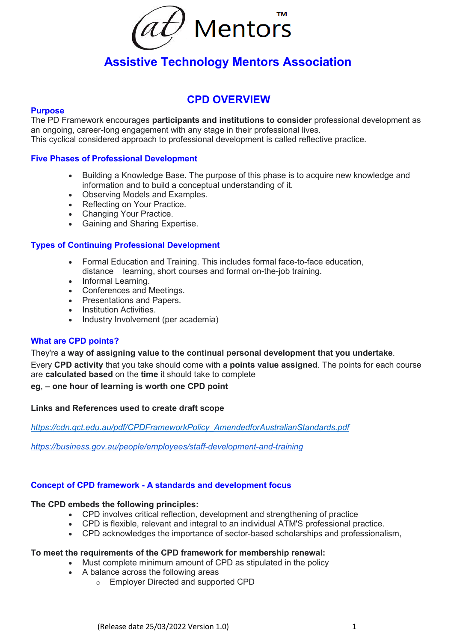

# **Assistive Technology Mentors Association**

# **CPD OVERVIEW**

#### **Purpose**

The PD Framework encourages **participants and institutions to consider** professional development as an ongoing, career-long engagement with any stage in their professional lives. This cyclical considered approach to professional development is called reflective practice.

#### **Five Phases of Professional Development**

- Building a Knowledge Base. The purpose of this phase is to acquire new knowledge and information and to build a conceptual understanding of it.
- Observing Models and Examples.
- Reflecting on Your Practice.
- Changing Your Practice.
- Gaining and Sharing Expertise.

### **Types of Continuing Professional Development**

- Formal Education and Training. This includes formal face-to-face education, distance learning, short courses and formal on-the-job training.
- Informal Learning.
- Conferences and Meetings.
- Presentations and Papers.
- Institution Activities.
- Industry Involvement (per academia)

#### **What are CPD points?**

#### They're **a way of assigning value to the continual personal development that you undertake**.

Every **CPD activity** that you take should come with **a points value assigned**. The points for each course are **calculated based** on the **time** it should take to complete

#### **eg**, **– one hour of learning is worth one CPD point**

#### **Links and References used to create draft scope**

*[https://cdn.qct.edu.au/pdf/CPDFrameworkPolicy\\_AmendedforAustralianStandards.pdf](https://cdn.qct.edu.au/pdf/CPDFrameworkPolicy_AmendedforAustralianStandards.pdf)*

*<https://business.gov.au/people/employees/staff-development-and-training>*

#### **Concept of CPD framework - A standards and development focus**

#### **The CPD embeds the following principles:**

- CPD involves critical reflection, development and strengthening of practice
- CPD is flexible, relevant and integral to an individual ATM'S professional practice.
- CPD acknowledges the importance of sector-based scholarships and professionalism,

#### **To meet the requirements of the CPD framework for membership renewal:**

- Must complete minimum amount of CPD as stipulated in the policy
- A balance across the following areas
	- o Employer Directed and supported CPD